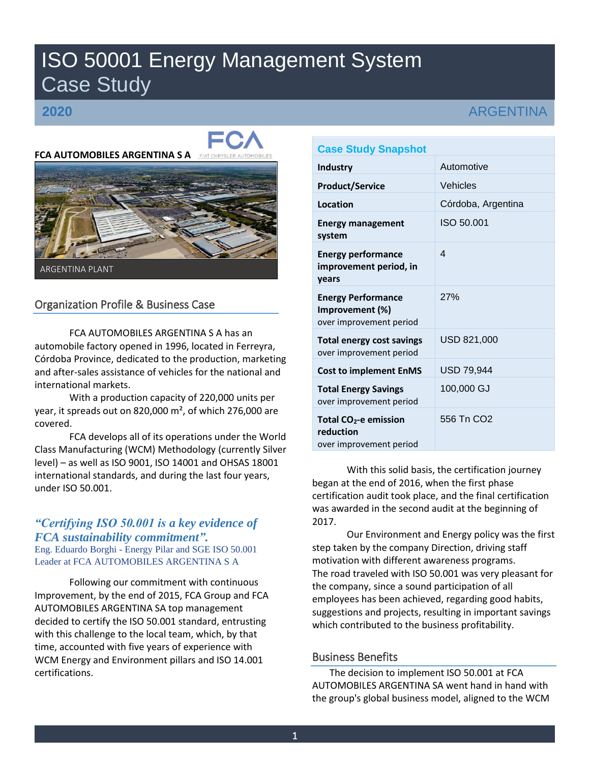# ISO 50001 Energy Management System Case Study

# **2020**



**FCA AUTOMOBILES ARGENTINA S A**



Organization Profile & Business Case

FCA AUTOMOBILES ARGENTINA S A has an automobile factory opened in 1996, located in Ferreyra, Córdoba Province, dedicated to the production, marketing and after-sales assistance of vehicles for the national and international markets.

With a production capacity of 220,000 units per year, it spreads out on 820,000 m², of which 276,000 are covered.

FCA develops all of its operations under the World Class Manufacturing (WCM) Methodology (currently Silver level) – as well as ISO 9001, ISO 14001 and OHSAS 18001 international standards, and during the last four years, under ISO 50.001.

# *"Certifying ISO 50.001 is a key evidence of FCA sustainability commitment".* Eng. Eduardo Borghi - Energy Pilar and SGE ISO 50.001

Leader at FCA AUTOMOBILES ARGENTINA S A

Following our commitment with continuous Improvement, by the end of 2015, FCA Group and FCA AUTOMOBILES ARGENTINA SA top management decided to certify the ISO 50.001 standard, entrusting with this challenge to the local team, which, by that time, accounted with five years of experience with WCM Energy and Environment pillars and ISO 14.001 certifications.

# **ARGENTINA**

| <b>Case Study Snapshot</b>                                                |                        |  |
|---------------------------------------------------------------------------|------------------------|--|
| <b>Industry</b>                                                           | Automotive             |  |
| <b>Product/Service</b>                                                    | Vehicles               |  |
| Location                                                                  | Córdoba, Argentina     |  |
| <b>Energy management</b><br>system                                        | ISO 50.001             |  |
| <b>Energy performance</b><br>improvement period, in<br>years              | 4                      |  |
| <b>Energy Performance</b><br>Improvement (%)<br>over improvement period   | 27%                    |  |
| <b>Total energy cost savings</b><br>over improvement period               | USD 821,000            |  |
| <b>Cost to implement EnMS</b>                                             | <b>USD 79,944</b>      |  |
| <b>Total Energy Savings</b><br>over improvement period                    | 100,000 GJ             |  |
| Total CO <sub>2</sub> -e emission<br>reduction<br>over improvement period | 556 Tn CO <sub>2</sub> |  |

With this solid basis, the certification journey began at the end of 2016, when the first phase certification audit took place, and the final certification was awarded in the second audit at the beginning of 2017.

Our Environment and Energy policy was the first step taken by the company Direction, driving staff motivation with different awareness programs. The road traveled with ISO 50.001 was very pleasant for the company, since a sound participation of all employees has been achieved, regarding good habits, suggestions and projects, resulting in important savings which contributed to the business profitability.

# Business Benefits

The decision to implement ISO 50.001 at FCA AUTOMOBILES ARGENTINA SA went hand in hand with the group's global business model, aligned to the WCM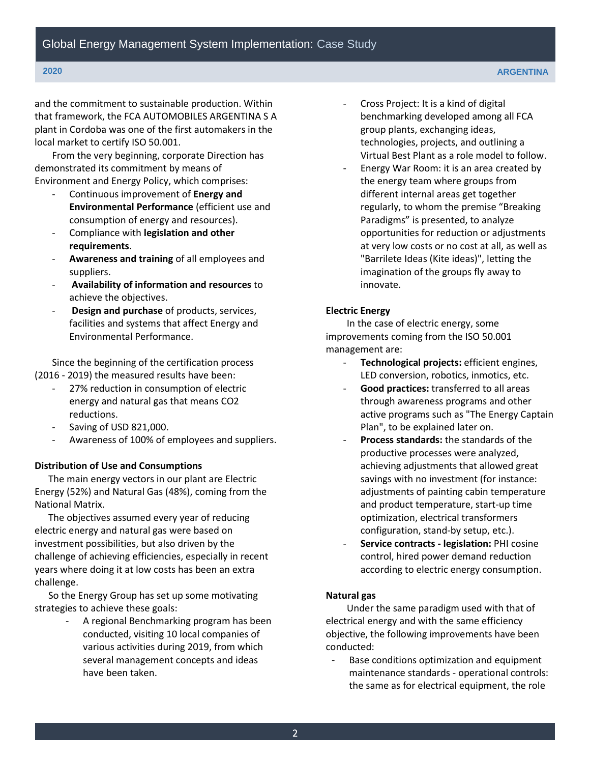and the commitment to sustainable production. Within that framework, the FCA AUTOMOBILES ARGENTINA S A plant in Cordoba was one of the first automakers in the local market to certify ISO 50.001.

From the very beginning, corporate Direction has demonstrated its commitment by means of Environment and Energy Policy, which comprises:

- Continuous improvement of **Energy and Environmental Performance** (efficient use and consumption of energy and resources).
- Compliance with **legislation and other requirements**.
- **Awareness and training** of all employees and suppliers.
- **Availability of information and resources** to achieve the objectives.
- **Design and purchase** of products, services, facilities and systems that affect Energy and Environmental Performance.

Since the beginning of the certification process (2016 - 2019) the measured results have been:

- 27% reduction in consumption of electric energy and natural gas that means CO2 reductions.
- Saving of USD 821,000.
- Awareness of 100% of employees and suppliers.

#### **Distribution of Use and Consumptions**

The main energy vectors in our plant are Electric Energy (52%) and Natural Gas (48%), coming from the National Matrix.

The objectives assumed every year of reducing electric energy and natural gas were based on investment possibilities, but also driven by the challenge of achieving efficiencies, especially in recent years where doing it at low costs has been an extra challenge.

So the Energy Group has set up some motivating strategies to achieve these goals:

> - A regional Benchmarking program has been conducted, visiting 10 local companies of various activities during 2019, from which several management concepts and ideas have been taken.

- Cross Project: It is a kind of digital benchmarking developed among all FCA group plants, exchanging ideas, technologies, projects, and outlining a Virtual Best Plant as a role model to follow.
- Energy War Room: it is an area created by the energy team where groups from different internal areas get together regularly, to whom the premise "Breaking Paradigms" is presented, to analyze opportunities for reduction or adjustments at very low costs or no cost at all, as well as "Barrilete Ideas (Kite ideas)", letting the imagination of the groups fly away to innovate.

#### **Electric Energy**

In the case of electric energy, some improvements coming from the ISO 50.001 management are:

- **Technological projects:** efficient engines, LED conversion, robotics, inmotics, etc.
- Good practices: transferred to all areas through awareness programs and other active programs such as "The Energy Captain Plan", to be explained later on.
- Process standards: the standards of the productive processes were analyzed, achieving adjustments that allowed great savings with no investment (for instance: adjustments of painting cabin temperature and product temperature, start-up time optimization, electrical transformers configuration, stand-by setup, etc.).
- **Service contracts - legislation:** PHI cosine control, hired power demand reduction according to electric energy consumption.

#### **Natural gas**

Under the same paradigm used with that of electrical energy and with the same efficiency objective, the following improvements have been conducted:

Base conditions optimization and equipment maintenance standards - operational controls: the same as for electrical equipment, the role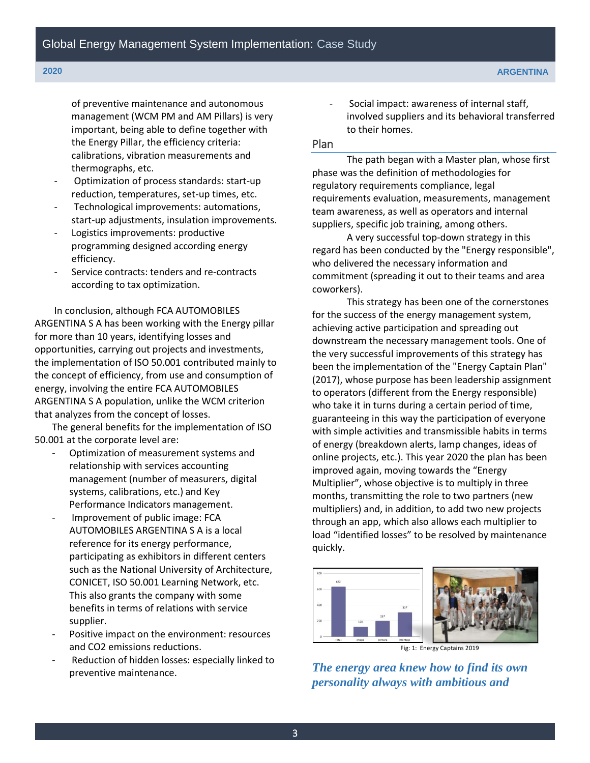of preventive maintenance and autonomous management (WCM PM and AM Pillars) is very important, being able to define together with the Energy Pillar, the efficiency criteria: calibrations, vibration measurements and thermographs, etc.

- Optimization of process standards: start-up reduction, temperatures, set-up times, etc.
- Technological improvements: automations, start-up adjustments, insulation improvements.
- Logistics improvements: productive programming designed according energy efficiency.
- Service contracts: tenders and re-contracts according to tax optimization.

In conclusion, although FCA AUTOMOBILES ARGENTINA S A has been working with the Energy pillar for more than 10 years, identifying losses and opportunities, carrying out projects and investments, the implementation of ISO 50.001 contributed mainly to the concept of efficiency, from use and consumption of energy, involving the entire FCA AUTOMOBILES ARGENTINA S A population, unlike the WCM criterion that analyzes from the concept of losses.

The general benefits for the implementation of ISO 50.001 at the corporate level are:

- Optimization of measurement systems and relationship with services accounting management (number of measurers, digital systems, calibrations, etc.) and Key Performance Indicators management.
- Improvement of public image: FCA AUTOMOBILES ARGENTINA S A is a local reference for its energy performance, participating as exhibitors in different centers such as the National University of Architecture, CONICET, ISO 50.001 Learning Network, etc. This also grants the company with some benefits in terms of relations with service supplier.
- Positive impact on the environment: resources and CO2 emissions reductions.
- Reduction of hidden losses: especially linked to preventive maintenance.

- Social impact: awareness of internal staff, involved suppliers and its behavioral transferred to their homes.

#### Plan

The path began with a Master plan, whose first phase was the definition of methodologies for regulatory requirements compliance, legal requirements evaluation, measurements, management team awareness, as well as operators and internal suppliers, specific job training, among others.

A very successful top-down strategy in this regard has been conducted by the "Energy responsible", who delivered the necessary information and commitment (spreading it out to their teams and area coworkers).

This strategy has been one of the cornerstones for the success of the energy management system, achieving active participation and spreading out downstream the necessary management tools. One of the very successful improvements of this strategy has been the implementation of the "Energy Captain Plan" (2017), whose purpose has been leadership assignment to operators (different from the Energy responsible) who take it in turns during a certain period of time, guaranteeing in this way the participation of everyone with simple activities and transmissible habits in terms of energy (breakdown alerts, lamp changes, ideas of online projects, etc.). This year 2020 the plan has been improved again, moving towards the "Energy Multiplier", whose objective is to multiply in three months, transmitting the role to two partners (new multipliers) and, in addition, to add two new projects through an app, which also allows each multiplier to load "identified losses" to be resolved by maintenance quickly.



Fig: 1: Energy Captains 2019

*The energy area knew how to find its own personality always with ambitious and*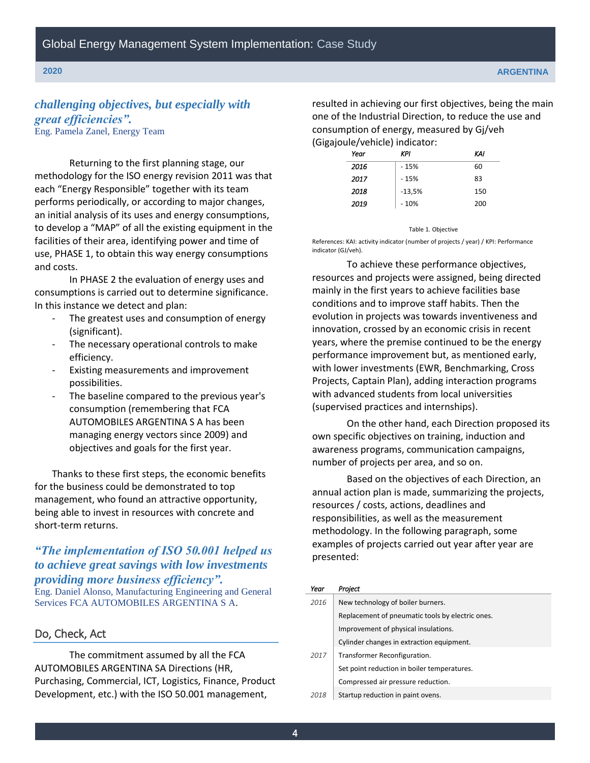# *challenging objectives, but especially with great efficiencies".* Eng. Pamela Zanel, Energy Team

Returning to the first planning stage, our methodology for the ISO energy revision 2011 was that each "Energy Responsible" together with its team performs periodically, or according to major changes, an initial analysis of its uses and energy consumptions, to develop a "MAP" of all the existing equipment in the facilities of their area, identifying power and time of use, PHASE 1, to obtain this way energy consumptions and costs.

In PHASE 2 the evaluation of energy uses and consumptions is carried out to determine significance. In this instance we detect and plan:

- The greatest uses and consumption of energy (significant).
- The necessary operational controls to make efficiency.
- Existing measurements and improvement possibilities.
- The baseline compared to the previous year's consumption (remembering that FCA AUTOMOBILES ARGENTINA S A has been managing energy vectors since 2009) and objectives and goals for the first year.

Thanks to these first steps, the economic benefits for the business could be demonstrated to top management, who found an attractive opportunity, being able to invest in resources with concrete and short-term returns.

# *"The implementation of ISO 50.001 helped us to achieve great savings with low investments providing more business efficiency".*

Eng. Daniel Alonso, Manufacturing Engineering and General Services FCA AUTOMOBILES ARGENTINA S A.

# Do, Check, Act

The commitment assumed by all the FCA AUTOMOBILES ARGENTINA SA Directions (HR, Purchasing, Commercial, ICT, Logistics, Finance, Product Development, etc.) with the ISO 50.001 management,

resulted in achieving our first objectives, being the main one of the Industrial Direction, to reduce the use and consumption of energy, measured by Gj/veh (Gigajoule/vehicle) indicator:

| Year | KPI      | ΚAΙ |
|------|----------|-----|
| 2016 | $-15%$   | 60  |
| 2017 | $-15%$   | 83  |
| 2018 | $-13,5%$ | 150 |
| 2019 | $-10%$   | 200 |

#### Table 1. Objective

References: KAI: activity indicator (number of projects / year) / KPI: Performance indicator (GJ/veh).

To achieve these performance objectives, resources and projects were assigned, being directed mainly in the first years to achieve facilities base conditions and to improve staff habits. Then the evolution in projects was towards inventiveness and innovation, crossed by an economic crisis in recent years, where the premise continued to be the energy performance improvement but, as mentioned early, with lower investments (EWR, Benchmarking, Cross Projects, Captain Plan), adding interaction programs with advanced students from local universities (supervised practices and internships).

On the other hand, each Direction proposed its own specific objectives on training, induction and awareness programs, communication campaigns, number of projects per area, and so on.

Based on the objectives of each Direction, an annual action plan is made, summarizing the projects, resources / costs, actions, deadlines and responsibilities, as well as the measurement methodology. In the following paragraph, some examples of projects carried out year after year are presented:

#### *Year Project*

| 2016 | New technology of boiler burners.                |
|------|--------------------------------------------------|
|      | Replacement of pneumatic tools by electric ones. |
|      | Improvement of physical insulations.             |
|      | Cylinder changes in extraction equipment.        |
| 2017 | Transformer Reconfiguration.                     |
|      | Set point reduction in boiler temperatures.      |
|      | Compressed air pressure reduction.               |
| 2018 | Startup reduction in paint ovens.                |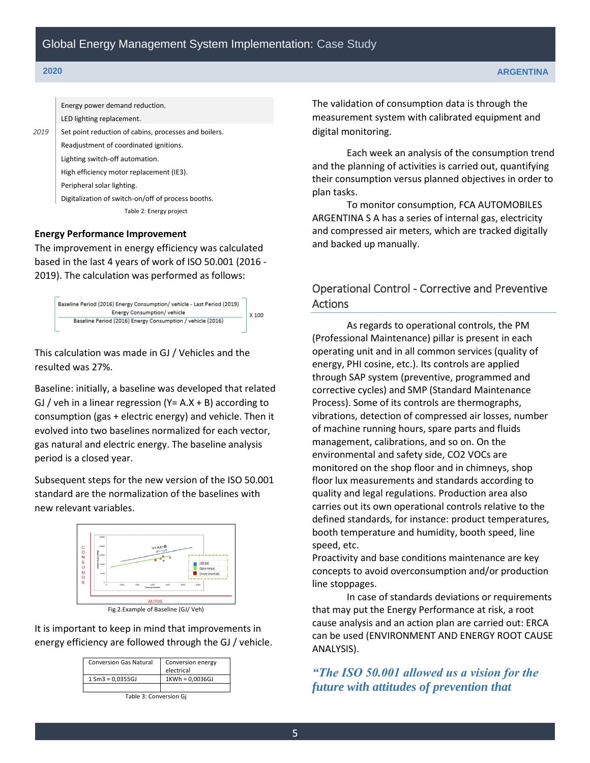Energy power demand reduction. LED lighting replacement. 2019 Set point reduction of cabins, processes and boilers. Readjustment of coordinated ignitions. Lighting switch-off automation. High efficiency motor replacement (IE3). Peripheral solar lighting. Digitalization of switch-on/off of process booths.

Table 2: Energy project

#### **Energy Performance Improvement**

The improvement in energy efficiency was calculated based in the last 4 years of work of ISO 50.001 (2016 - 2019). The calculation was performed as follows:



This calculation was made in GJ / Vehicles and the resulted was 27%.

Baseline: initially, a baseline was developed that related GJ / veh in a linear regression ( $Y = A.X + B$ ) according to consumption (gas + electric energy) and vehicle. Then it evolved into two baselines normalized for each vector, gas natural and electric energy. The baseline analysis period is a closed year.

Subsequent steps for the new version of the ISO 50.001 standard are the normalization of the baselines with new relevant variables.





It is important to keep in mind that improvements in energy efficiency are followed through the GJ / vehicle.

| <b>Conversion Gas Natural</b>      | Conversion energy<br>electrical |  |
|------------------------------------|---------------------------------|--|
| $1 \text{ Sm3} = 0.0355 \text{GJ}$ | 1KWh = 0.0036GJ                 |  |
|                                    |                                 |  |
| $-1122$                            |                                 |  |



The validation of consumption data is through the measurement system with calibrated equipment and digital monitoring.

Each week an analysis of the consumption trend and the planning of activities is carried out, quantifying their consumption versus planned objectives in order to plan tasks.

To monitor consumption, FCA AUTOMOBILES ARGENTINA S A has a series of internal gas, electricity and compressed air meters, which are tracked digitally and backed up manually.

# Operational Control - Corrective and Preventive Actions

As regards to operational controls, the PM (Professional Maintenance) pillar is present in each operating unit and in all common services (quality of energy, PHI cosine, etc.). Its controls are applied through SAP system (preventive, programmed and corrective cycles) and SMP (Standard Maintenance Process). Some of its controls are thermographs, vibrations, detection of compressed air losses, number of machine running hours, spare parts and fluids management, calibrations, and so on. On the environmental and safety side, CO2 VOCs are monitored on the shop floor and in chimneys, shop floor lux measurements and standards according to quality and legal regulations. Production area also carries out its own operational controls relative to the defined standards, for instance: product temperatures, booth temperature and humidity, booth speed, line speed, etc.

Proactivity and base conditions maintenance are key concepts to avoid overconsumption and/or production line stoppages.

In case of standards deviations or requirements that may put the Energy Performance at risk, a root cause analysis and an action plan are carried out: ERCA can be used (ENVIRONMENT AND ENERGY ROOT CAUSE ANALYSIS).

*"The ISO 50.001 allowed us a vision for the future with attitudes of prevention that*